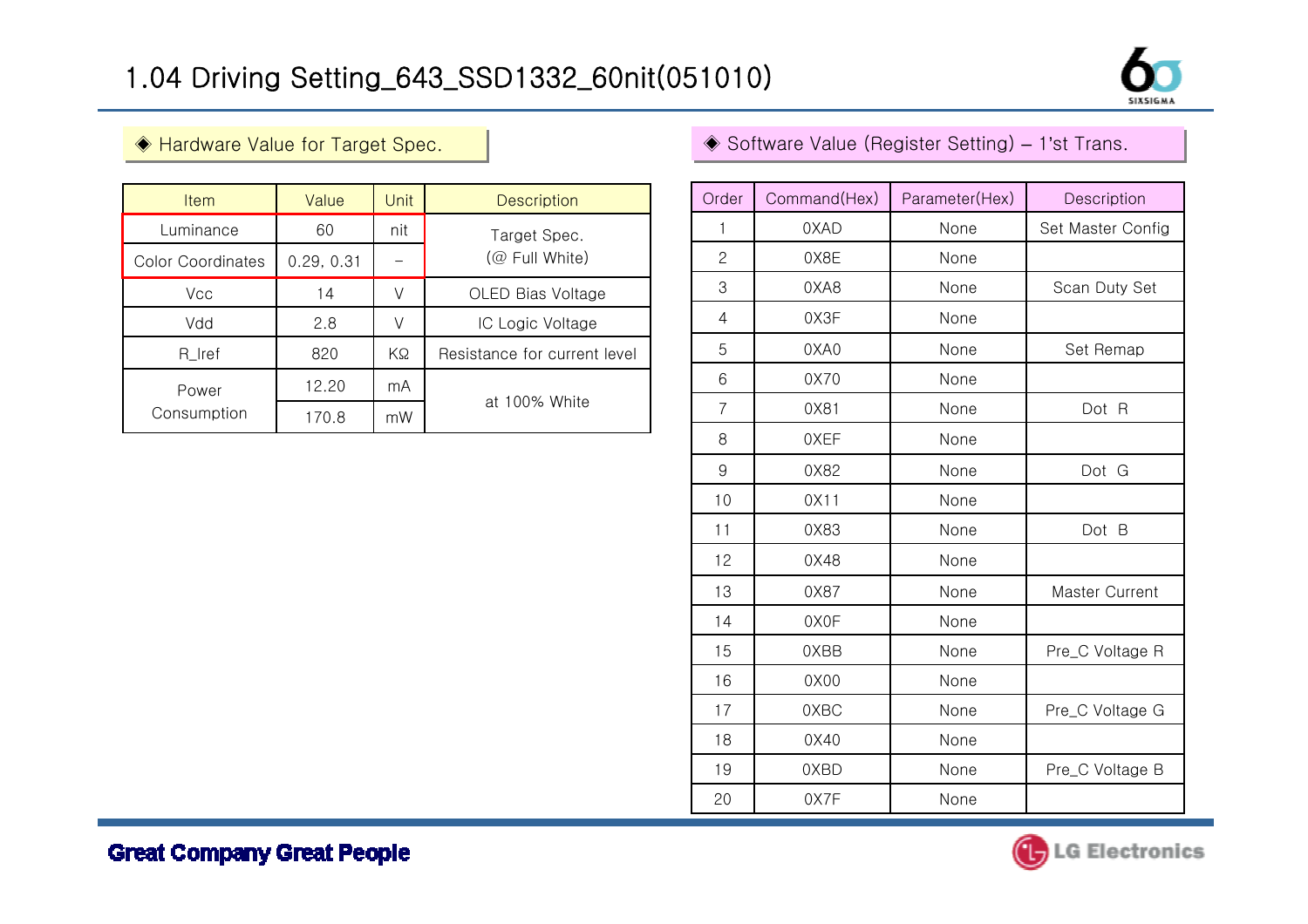

| <b>Item</b>              | Value      | Unit | <b>Description</b>             |  |
|--------------------------|------------|------|--------------------------------|--|
| Luminance                | 60         | nit  | Target Spec.<br>(@ Full White) |  |
| <b>Color Coordinates</b> | 0.29, 0.31 |      |                                |  |
| Vcc                      | 14         |      | OLED Bias Voltage              |  |
| Vdd                      | 2.8        | V    | IC Logic Voltage               |  |
| R_Iref                   | 820        | KΩ   | Resistance for current level   |  |
| Power<br>Consumption     | 12.20      | mA   | at 100% White                  |  |
|                          | 170.8      | mW   |                                |  |

## ◈ Hardware Value for Target Spec. │ │ │ │ │ │ │ │ │ │ │ │ │ ⋟ Software Value (Register Setting) – 1'st Trans.

| Order          | Command(Hex) | Parameter(Hex) | Description       |
|----------------|--------------|----------------|-------------------|
| 1              | 0XAD         | None           | Set Master Config |
| $\overline{c}$ | 0X8E         | None           |                   |
| 3              | 0XA8         | None           | Scan Duty Set     |
| $\overline{4}$ | 0X3F         | None           |                   |
| 5              | 0XA0         | None           | Set Remap         |
| 6              | 0X70         | None           |                   |
| $\overline{7}$ | 0X81         | None           | Dot R             |
| 8              | 0XEF         | None           |                   |
| 9              | 0X82         | None           | Dot G             |
| 10             | 0X11         | None           |                   |
| 11             | 0X83         | None           | Dot B             |
| 12             | 0X48         | None           |                   |
| 13             | 0X87         | None           | Master Current    |
| 14             | 0X0F         | None           |                   |
| 15             | 0XBB         | None           | Pre_C Voltage R   |
| 16             | 0X00         | None           |                   |
| 17             | 0XBC         | None           | Pre_C Voltage G   |
| 18             | 0X40         | None           |                   |
| 19             | 0XBD         | None           | Pre_C Voltage B   |
| 20             | 0X7F         | None           |                   |